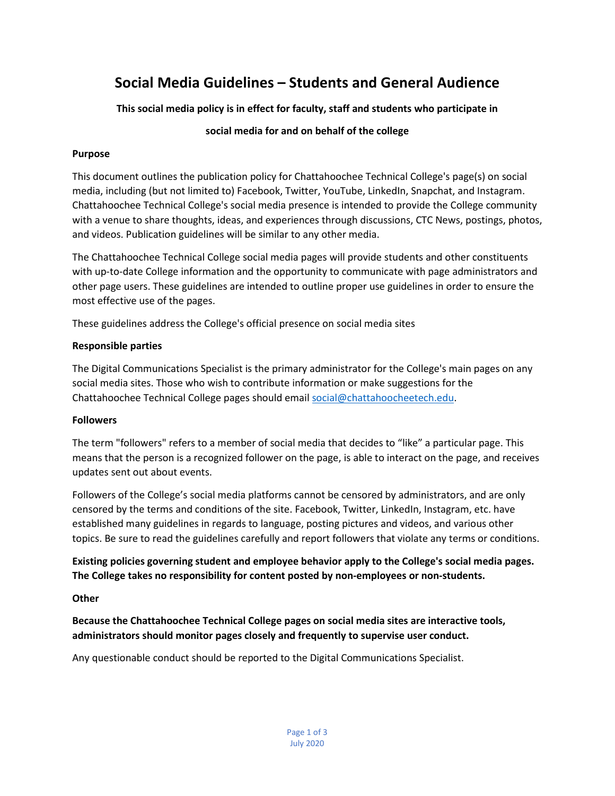# **Social Media Guidelines – Students and General Audience**

**This social media policy is in effect for faculty, staff and students who participate in** 

# **social media for and on behalf of the college**

## **Purpose**

This document outlines the publication policy for Chattahoochee Technical College's page(s) on social media, including (but not limited to) Facebook, Twitter, YouTube, LinkedIn, Snapchat, and Instagram. Chattahoochee Technical College's social media presence is intended to provide the College community with a venue to share thoughts, ideas, and experiences through discussions, CTC News, postings, photos, and videos. Publication guidelines will be similar to any other media.

The Chattahoochee Technical College social media pages will provide students and other constituents with up-to-date College information and the opportunity to communicate with page administrators and other page users. These guidelines are intended to outline proper use guidelines in order to ensure the most effective use of the pages.

These guidelines address the College's official presence on social media sites

## **Responsible parties**

The Digital Communications Specialist is the primary administrator for the College's main pages on any social media sites. Those who wish to contribute information or make suggestions for the Chattahoochee Technical College pages should emai[l social@chattahoocheetech.edu.](mailto:social@chattahoocheetech.edu)

#### **Followers**

The term "followers" refers to a member of social media that decides to "like" a particular page. This means that the person is a recognized follower on the page, is able to interact on the page, and receives updates sent out about events.

Followers of the College's social media platforms cannot be censored by administrators, and are only censored by the terms and conditions of the site. Facebook, Twitter, LinkedIn, Instagram, etc. have established many guidelines in regards to language, posting pictures and videos, and various other topics. Be sure to read the guidelines carefully and report followers that violate any terms or conditions.

**Existing policies governing student and employee behavior apply to the College's social media pages. The College takes no responsibility for content posted by non-employees or non-students.** 

# **Other**

**Because the Chattahoochee Technical College pages on social media sites are interactive tools, administrators should monitor pages closely and frequently to supervise user conduct.** 

Any questionable conduct should be reported to the Digital Communications Specialist.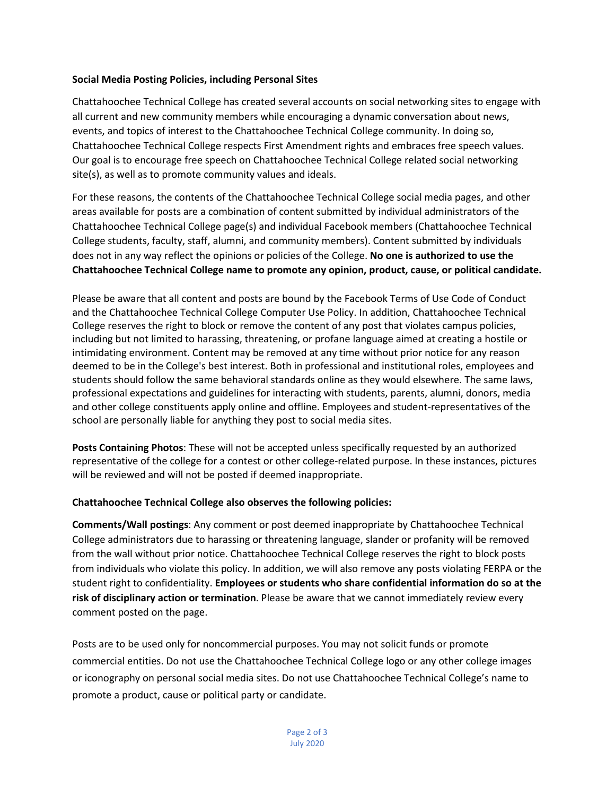### **Social Media Posting Policies, including Personal Sites**

Chattahoochee Technical College has created several accounts on social networking sites to engage with all current and new community members while encouraging a dynamic conversation about news, events, and topics of interest to the Chattahoochee Technical College community. In doing so, Chattahoochee Technical College respects First Amendment rights and embraces free speech values. Our goal is to encourage free speech on Chattahoochee Technical College related social networking site(s), as well as to promote community values and ideals.

For these reasons, the contents of the Chattahoochee Technical College social media pages, and other areas available for posts are a combination of content submitted by individual administrators of the Chattahoochee Technical College page(s) and individual Facebook members (Chattahoochee Technical College students, faculty, staff, alumni, and community members). Content submitted by individuals does not in any way reflect the opinions or policies of the College. **No one is authorized to use the Chattahoochee Technical College name to promote any opinion, product, cause, or political candidate.**

Please be aware that all content and posts are bound by the Facebook Terms of Use Code of Conduct and the Chattahoochee Technical College Computer Use Policy. In addition, Chattahoochee Technical College reserves the right to block or remove the content of any post that violates campus policies, including but not limited to harassing, threatening, or profane language aimed at creating a hostile or intimidating environment. Content may be removed at any time without prior notice for any reason deemed to be in the College's best interest. Both in professional and institutional roles, employees and students should follow the same behavioral standards online as they would elsewhere. The same laws, professional expectations and guidelines for interacting with students, parents, alumni, donors, media and other college constituents apply online and offline. Employees and student-representatives of the school are personally liable for anything they post to social media sites.

**Posts Containing Photos**: These will not be accepted unless specifically requested by an authorized representative of the college for a contest or other college-related purpose. In these instances, pictures will be reviewed and will not be posted if deemed inappropriate.

#### **Chattahoochee Technical College also observes the following policies:**

**Comments/Wall postings**: Any comment or post deemed inappropriate by Chattahoochee Technical College administrators due to harassing or threatening language, slander or profanity will be removed from the wall without prior notice. Chattahoochee Technical College reserves the right to block posts from individuals who violate this policy. In addition, we will also remove any posts violating FERPA or the student right to confidentiality. **Employees or students who share confidential information do so at the risk of disciplinary action or termination**. Please be aware that we cannot immediately review every comment posted on the page.

Posts are to be used only for noncommercial purposes. You may not solicit funds or promote commercial entities. Do not use the Chattahoochee Technical College logo or any other college images or iconography on personal social media sites. Do not use Chattahoochee Technical College's name to promote a product, cause or political party or candidate.